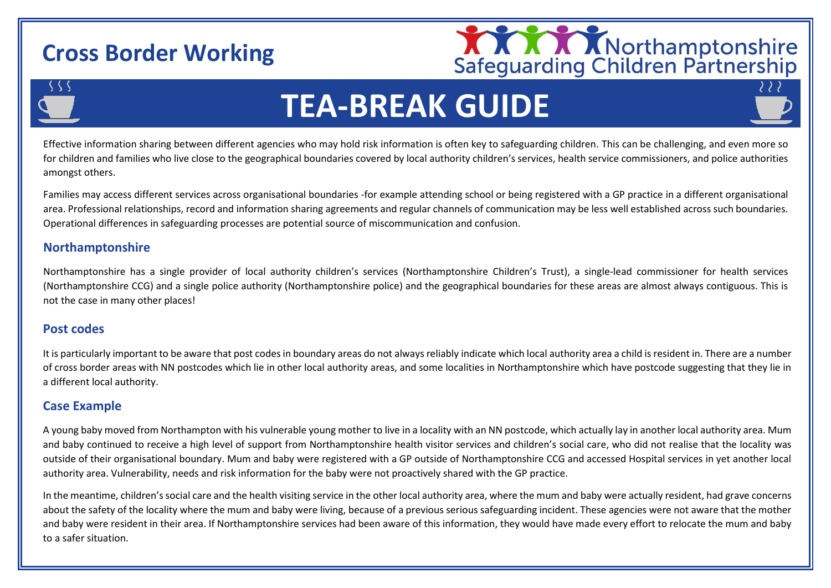## **Cross Border Working**



# **TEA-BREAK GUIDE**

Effective information sharing between different agencies who may hold risk information is often key to safeguarding children. This can be challenging, and even more so for children and families who live close to the geographical boundaries covered by local authority children's services, health service commissioners, and police authorities amongst others.

Families may access different services across organisational boundaries -for example attending school or being registered with a GP practice in a different organisational area. Professional relationships, record and information sharing agreements and regular channels of communication may be less well established across such boundaries. Operational differences in safeguarding processes are potential source of miscommunication and confusion.

#### **Northamptonshire**

Northamptonshire has a single provider of local authority children's services (Northamptonshire Children's Trust), a single-lead commissioner for health services (Northamptonshire CCG) and a single police authority (Northamptonshire police) and the geographical boundaries for these areas are almost always contiguous. This is not the case in many other places!

#### Northamptonshire shares its borders with a larger than average number of different local authority children's services and police areas - Bedfordshire, Cambridge and Peterborough, Leicestershire, Leicester and Rutland, Buckinghamshire, Oxfordshire, Warwickshire, Milton Keynes. **Post codes**

It is particularly important to be aware that post codes in boundary areas do not always reliably indicate which local authority area a child is resident in. There are a number of cross border areas with NN postcodes which lie in other local authority areas, and some localities in Northamptonshire which have postcode suggesting that they lie in a different local authority.

#### **Case Example**

A young baby moved from Northampton with his vulnerable young mother to live in a locality with an NN postcode, which actually lay in another local authority area. Mum and baby continued to receive a high level of support from Northamptonshire health visitor services and children's social care, who did not realise that the locality was outside of their organisational boundary. Mum and baby were registered with a GP outside of Northamptonshire CCG and accessed Hospital services in yet another local authority area. Vulnerability, needs and risk information for the baby were not proactively shared with the GP practice.

In the meantime, children's social care and the health visiting service in the other local authority area, where the mum and baby were actually resident, had grave concerns about the safety of the locality where the mum and baby were living, because of a previous serious safeguarding incident. These agencies were not aware that the mother and baby were resident in their area. If Northamptonshire services had been aware of this information, they would have made every effort to relocate the mum and baby to a safer situation.